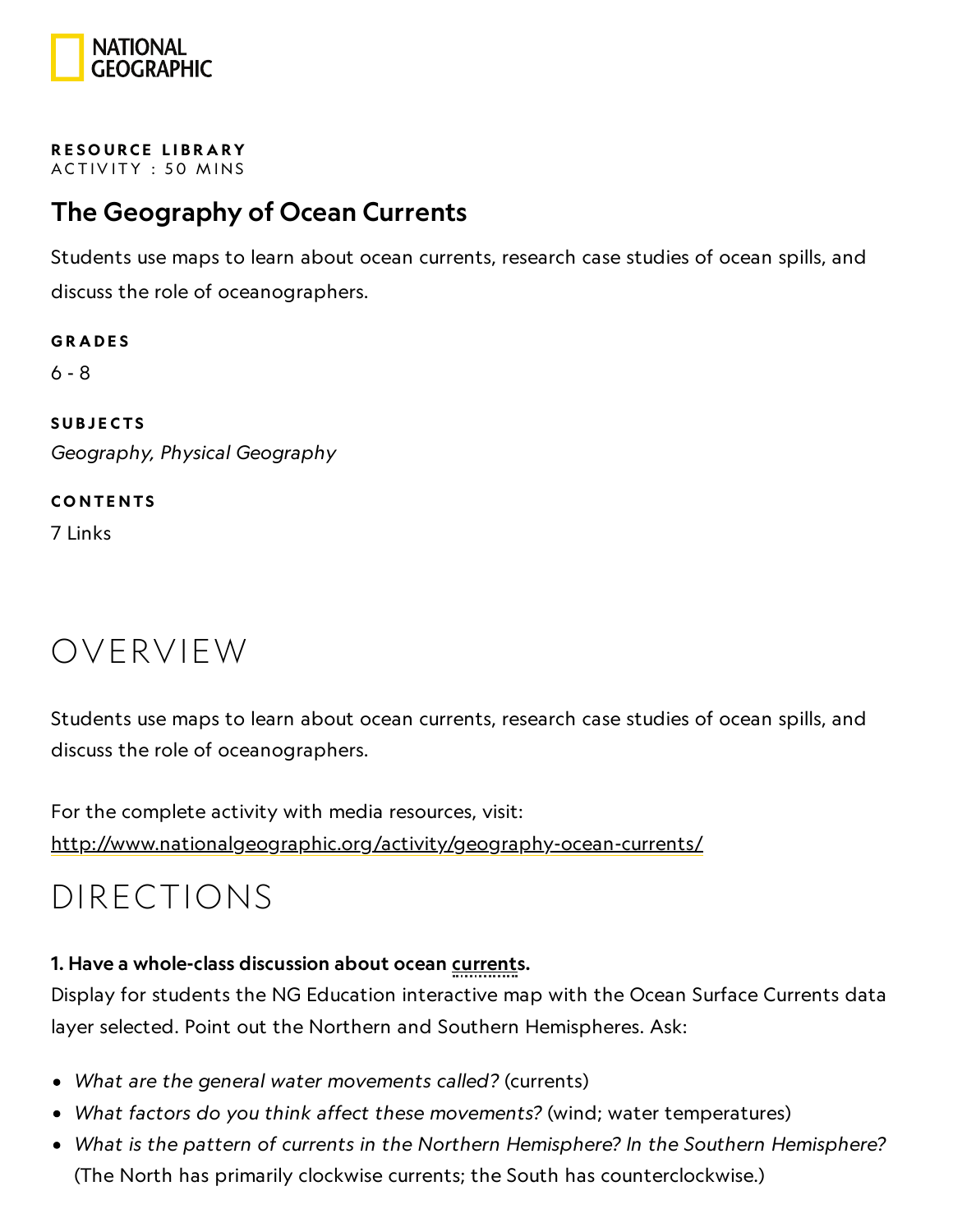

RESOURCE LIBRA[RY](https://www.nationalgeographic.org/education/resource-library/) ACTIVITY: 50 MINS

#### The Geography of Ocean Currents

Students use maps to learn about ocean currents, research case studies of ocean spills, and discuss the role of oceanographers.

**GRADES** 6 - 8 **SUBJECTS** Geography, Physical Geography

**CONTENTS** 7 Links

### OVERVIEW

Students use maps to learn about ocean currents, research case studies of ocean spills, and discuss the role of oceanographers.

For the complete activity with media resources, visit: <http://www.nationalgeographic.org/activity/geography-ocean-currents/>

## DIRECTIONS

#### 1. Have a whole-class discussion about ocean currents.

Display for students the NG Education interactive map with the Ocean Surface Currents data layer selected. Point out the Northern and Southern Hemispheres. Ask:

- What are the general water movements called? (currents)
- What factors do you think affect these movements? (wind; water temperatures)
- What is the pattern of currents in the Northern Hemisphere? In the Southern Hemisphere? (The North has primarily clockwise currents; the South has counterclockwise.)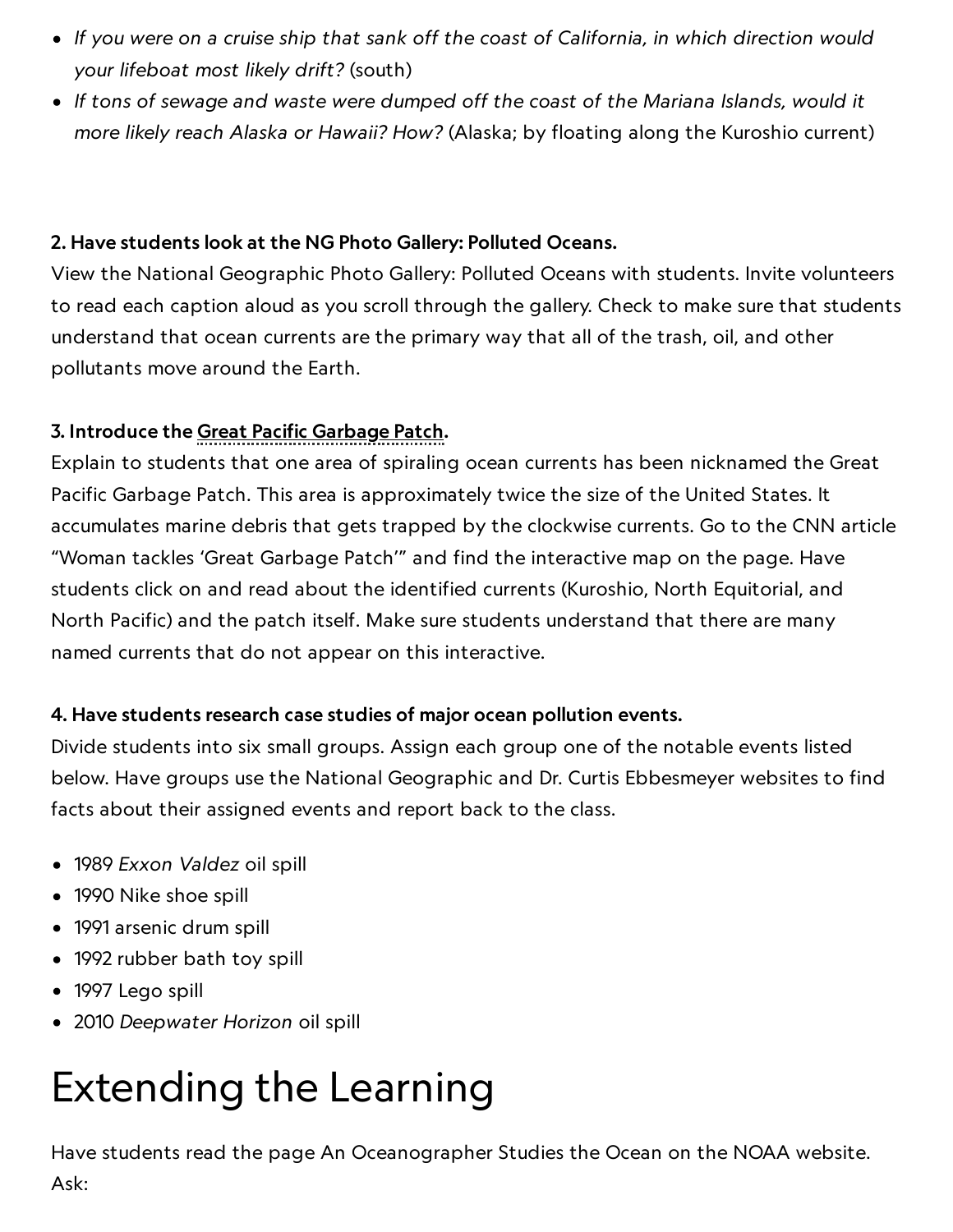- If you were on a cruise ship that sank off the coast of California, in which direction would your lifeboat most likely drift? (south)
- If tons of sewage and waste were dumped off the coast of the Mariana Islands, would it more likely reach Alaska or Hawaii? How? (Alaska; by floating along the Kuroshio current)

#### 2. Have students look at the NG Photo Gallery: Polluted Oceans.

View the National Geographic Photo Gallery: Polluted Oceans with students. Invite volunteers to read each caption aloud as you scroll through the gallery. Check to make sure that students understand that ocean currents are the primary way that all of the trash, oil, and other pollutants move around the Earth.

#### 3. Introduce the Great Pacific Garbage Patch.

Explain to students that one area of spiraling ocean currents has been nicknamed the Great Pacific Garbage Patch. This area is approximately twice the size of the United States. It accumulates marine debris that gets trapped by the clockwise currents. Go to the CNN article "Woman tackles 'Great Garbage Patch'" and find the interactive map on the page. Have students click on and read about the identified currents (Kuroshio, North Equitorial, and North Pacific) and the patch itself. Make sure students understand that there are many named currents that do not appear on this interactive.

#### 4. Have students research case studies of major ocean pollution events.

Divide students into six small groups. Assign each group one of the notable events listed below. Have groups use the National Geographic and Dr. Curtis Ebbesmeyer websites to find facts about their assigned events and report back to the class.

- 1989 Exxon Valdez oil spill
- 1990 Nike shoe spill
- 1991 arsenic drum spill
- 1992 rubber bath toy spill
- 1997 Lego spill
- 2010 Deepwater Horizon oil spill

# Extending the Learning

Have students read the page An Oceanographer Studies the Ocean on the NOAA website.

Ask: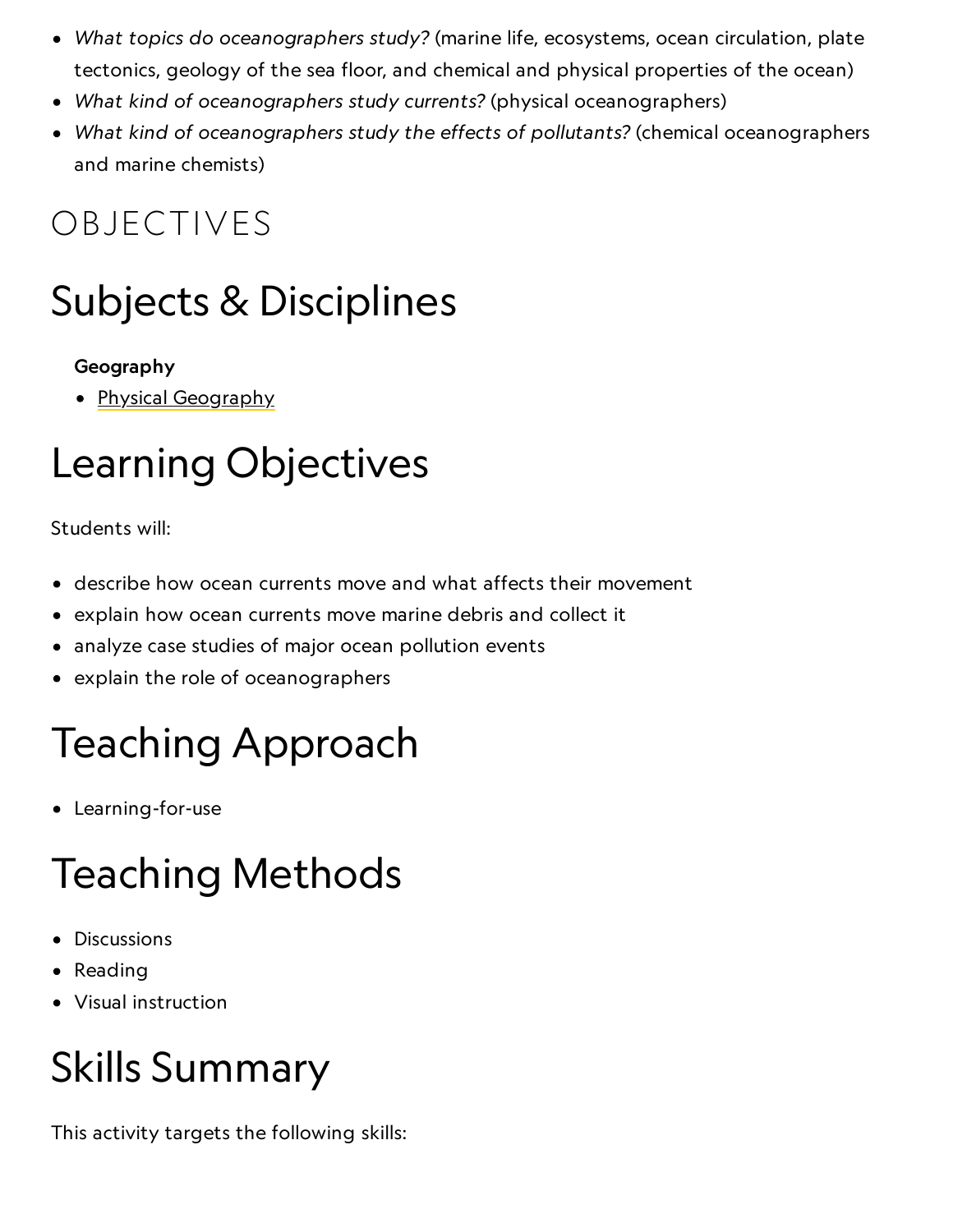- What topics do oceanographers study? (marine life, ecosystems, ocean circulation, plate tectonics, geology of the sea floor, and chemical and physical properties of the ocean)
- What kind of oceanographers study currents? (physical oceanographers)
- What kind of oceanographers study the effects of pollutants? (chemical oceanographers and marine chemists)

## OBJECTIVES

## Subjects & Disciplines

#### Geography

• <u>Physical [Geography](http://education.nationalgeographic.com/education/encyclopedia/geography/?ar_a=1)</u>

## Learning Objectives

Students will:

- describe how ocean currents move and what affects their movement
- explain how ocean currents move marine debris and collect it
- analyze case studies of major ocean pollution events
- explain the role of oceanographers

# Teaching Approach

Learning-for-use

# Teaching Methods

- Discussions
- Reading
- Visual instruction

## Skills Summary

This activity targets the following skills: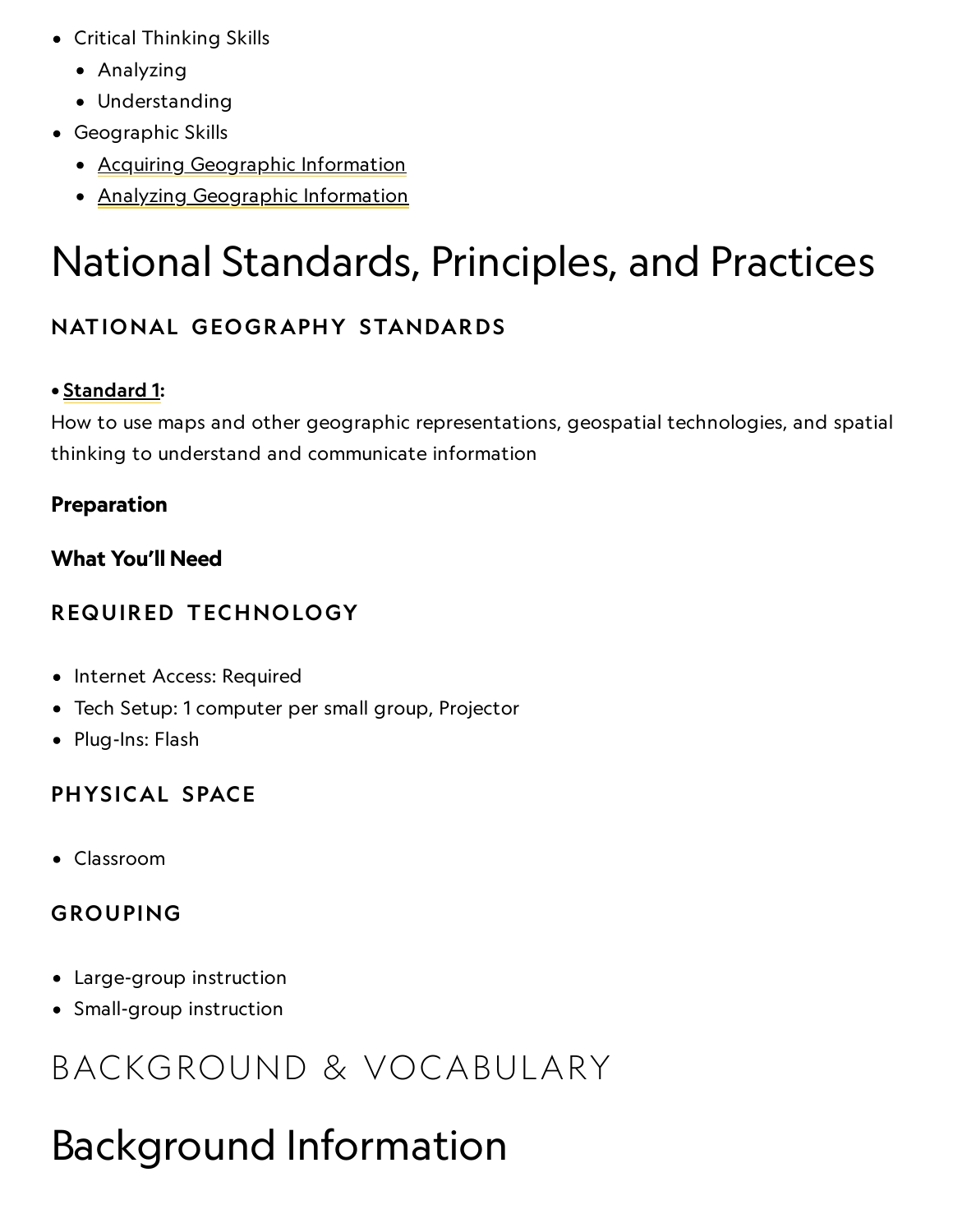- Critical Thinking Skills
	- Analyzing
	- Understanding
- Geographic Skills
	- Acquiring [Geographic](https://www.nationalgeographic.org/geographic-skills/2/) Information
	- Analyzing [Geographic](http://education.nationalgeographic.com/education/geographic-skills/4/?ar_a=1) Information

## National Standards, Principles, and Practices

#### NATIONAL GEOGRAPHY STANDARDS

#### • [Standard](https://www.nationalgeographic.org/education/standards/national-geography-standards/1/) 1:

How to use maps and other geographic representations, geospatial technologies, and spatial thinking to understand and communicate information

#### Preparation

#### What You'll Need

#### REQUIRED TECHNOLOGY

- Internet Access: Required
- Tech Setup: 1 computer per small group, Projector
- Plug-Ins: Flash

#### PHYSICAL SPACE

Classroom

#### GROUPING

- Large-group instruction
- Small-group instruction

## BACKGROUND & VOCABULARY

## Background Information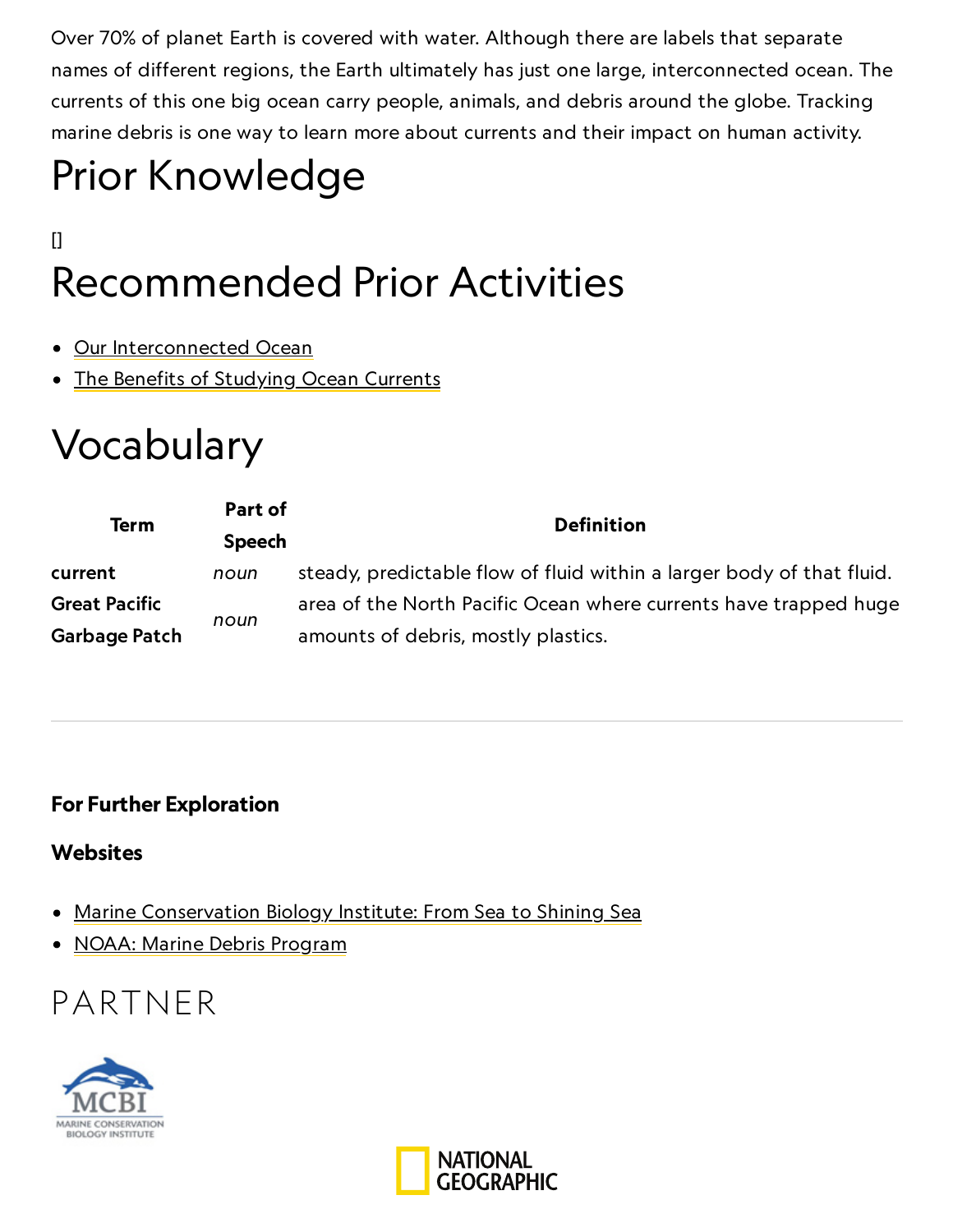Over 70% of planet Earth is covered with water. Although there are labels that separate names of different regions, the Earth ultimately has just one large, interconnected ocean. The currents of this one big ocean carry people, animals, and debris around the globe. Tracking marine debris is one way to learn more about currents and their impact on human activity.

# Prior Knowledge

### $[$ Recommended Prior Activities

- Our [Interconnected](https://www.nationalgeographic.org/activity/our-interconnected-ocean/) Ocean
- The Benefits of [Studying](https://www.nationalgeographic.org/activity/benefits-studying-ocean-currents/) Ocean Currents

## Vocabulary

| <b>Term</b>          | Part of       | <b>Definition</b>                                                     |
|----------------------|---------------|-----------------------------------------------------------------------|
|                      | <b>Speech</b> |                                                                       |
| current              | noun          | steady, predictable flow of fluid within a larger body of that fluid. |
| <b>Great Pacific</b> | noun          | area of the North Pacific Ocean where currents have trapped huge      |
| Garbage Patch        |               | amounts of debris, mostly plastics.                                   |

#### For Further Exploration

#### **Websites**

- Marine Conservation Biology [Institute: From](http://www.mcbi.org/shining_sea/s2ss_globe.htm) Sea to Shining Sea
- [NOAA: Marine](http://marinedebris.noaa.gov/) Debris Program

### PARTNER